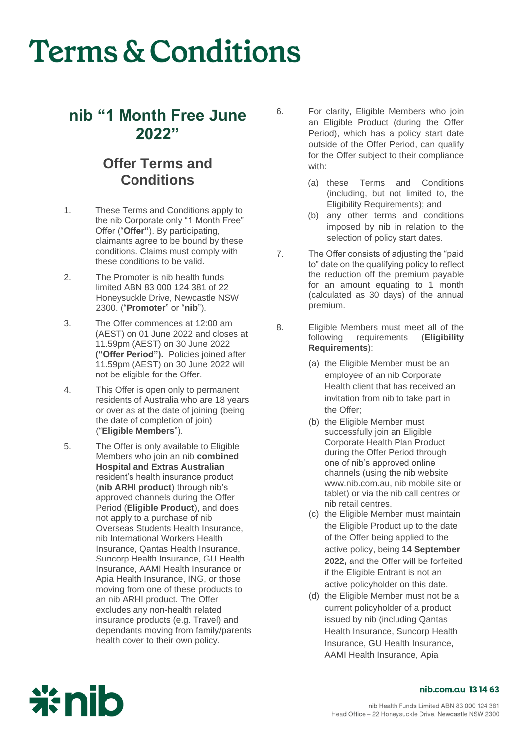## **Terms & Conditions**

### **nib "1 Month Free June 2022"**

### **Offer Terms and Conditions**

- 1. These Terms and Conditions apply to the nib Corporate only "1 Month Free" Offer ("**Offer"**). By participating, claimants agree to be bound by these conditions. Claims must comply with these conditions to be valid.
- 2. The Promoter is nib health funds limited ABN 83 000 124 381 of 22 Honeysuckle Drive, Newcastle NSW 2300. ("**Promoter**" or "**nib**").
- 3. The Offer commences at 12:00 am (AEST) on 01 June 2022 and closes at 11.59pm (AEST) on 30 June 2022 **("Offer Period").** Policies joined after 11.59pm (AEST) on 30 June 2022 will not be eligible for the Offer.
- 4. This Offer is open only to permanent residents of Australia who are 18 years or over as at the date of joining (being the date of completion of join) ("**Eligible Members**").
- 5. The Offer is only available to Eligible Members who join an nib **combined Hospital and Extras Australian**  resident's health insurance product (**nib ARHI product**) through nib's approved channels during the Offer Period (**Eligible Product**), and does not apply to a purchase of nib Overseas Students Health Insurance, nib International Workers Health Insurance, Qantas Health Insurance, Suncorp Health Insurance, GU Health Insurance, AAMI Health Insurance or Apia Health Insurance, ING, or those moving from one of these products to an nib ARHI product. The Offer excludes any non-health related insurance products (e.g. Travel) and dependants moving from family/parents health cover to their own policy.
- 6. For clarity, Eligible Members who join an Eligible Product (during the Offer Period), which has a policy start date outside of the Offer Period, can qualify for the Offer subject to their compliance with:
	- (a) these Terms and Conditions (including, but not limited to, the Eligibility Requirements); and
	- (b) any other terms and conditions imposed by nib in relation to the selection of policy start dates.
- 7. The Offer consists of adjusting the "paid to" date on the qualifying policy to reflect the reduction off the premium payable for an amount equating to 1 month (calculated as 30 days) of the annual premium.
- 8. Eligible Members must meet all of the<br>following requirements (Eligibility following requirements **Requirements**):
	- (a) the Eligible Member must be an employee of an nib Corporate Health client that has received an invitation from nib to take part in the Offer;
	- (b) the Eligible Member must successfully join an Eligible Corporate Health Plan Product during the Offer Period through one of nib's approved online channels (using the nib website www.nib.com.au, nib mobile site or tablet) or via the nib call centres or nib retail centres.
	- (c) the Eligible Member must maintain the Eligible Product up to the date of the Offer being applied to the active policy, being **14 September 2022,** and the Offer will be forfeited if the Eligible Entrant is not an active policyholder on this date.
	- (d) the Eligible Member must not be a current policyholder of a product issued by nib (including Qantas Health Insurance, Suncorp Health Insurance, GU Health Insurance, AAMI Health Insurance, Apia



#### nib.com.au 1314 63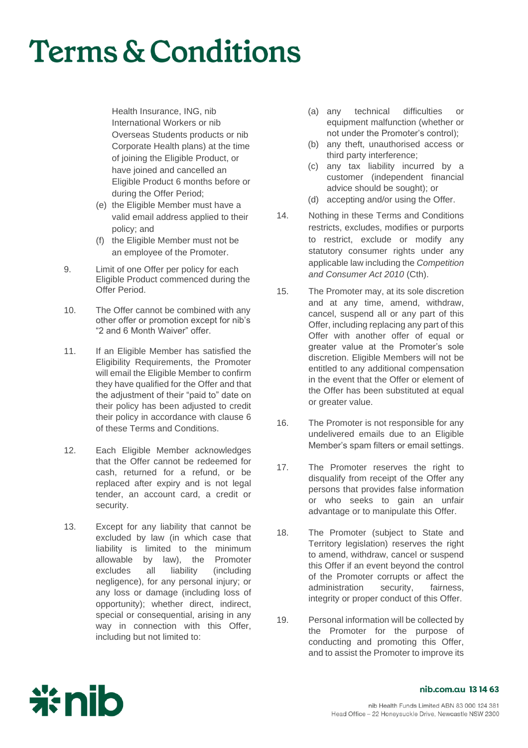# **Terms & Conditions**

Health Insurance, ING, nib International Workers or nib Overseas Students products or nib Corporate Health plans) at the time of joining the Eligible Product, or have joined and cancelled an Eligible Product 6 months before or during the Offer Period;

- (e) the Eligible Member must have a valid email address applied to their policy; and
- (f) the Eligible Member must not be an employee of the Promoter.
- 9. Limit of one Offer per policy for each Eligible Product commenced during the Offer Period.
- 10. The Offer cannot be combined with any other offer or promotion except for nib's "2 and 6 Month Waiver" offer.
- 11. If an Eligible Member has satisfied the Eligibility Requirements, the Promoter will email the Eligible Member to confirm they have qualified for the Offer and that the adjustment of their "paid to" date on their policy has been adjusted to credit their policy in accordance with clause 6 of these Terms and Conditions.
- 12. Each Eligible Member acknowledges that the Offer cannot be redeemed for cash, returned for a refund, or be replaced after expiry and is not legal tender, an account card, a credit or security.
- 13. Except for any liability that cannot be excluded by law (in which case that liability is limited to the minimum<br>allowable by law), the Promoter law), the Promoter excludes all liability (including negligence), for any personal injury; or any loss or damage (including loss of opportunity); whether direct, indirect, special or consequential, arising in any way in connection with this Offer, including but not limited to:
- (a) any technical difficulties or equipment malfunction (whether or not under the Promoter's control);
- (b) any theft, unauthorised access or third party interference;
- (c) any tax liability incurred by a customer (independent financial advice should be sought); or
- (d) accepting and/or using the Offer.
- 14. Nothing in these Terms and Conditions restricts, excludes, modifies or purports to restrict, exclude or modify any statutory consumer rights under any applicable law including the *Competition and Consumer Act 2010* (Cth).
- 15. The Promoter may, at its sole discretion and at any time, amend, withdraw, cancel, suspend all or any part of this Offer, including replacing any part of this Offer with another offer of equal or greater value at the Promoter's sole discretion. Eligible Members will not be entitled to any additional compensation in the event that the Offer or element of the Offer has been substituted at equal or greater value.
- 16. The Promoter is not responsible for any undelivered emails due to an Eligible Member's spam filters or email settings.
- 17. The Promoter reserves the right to disqualify from receipt of the Offer any persons that provides false information or who seeks to gain an unfair advantage or to manipulate this Offer.
- 18. The Promoter (subject to State and Territory legislation) reserves the right to amend, withdraw, cancel or suspend this Offer if an event beyond the control of the Promoter corrupts or affect the administration security, fairness, integrity or proper conduct of this Offer.
- 19. Personal information will be collected by the Promoter for the purpose of conducting and promoting this Offer, and to assist the Promoter to improve its



#### nib.com.au 1314 63